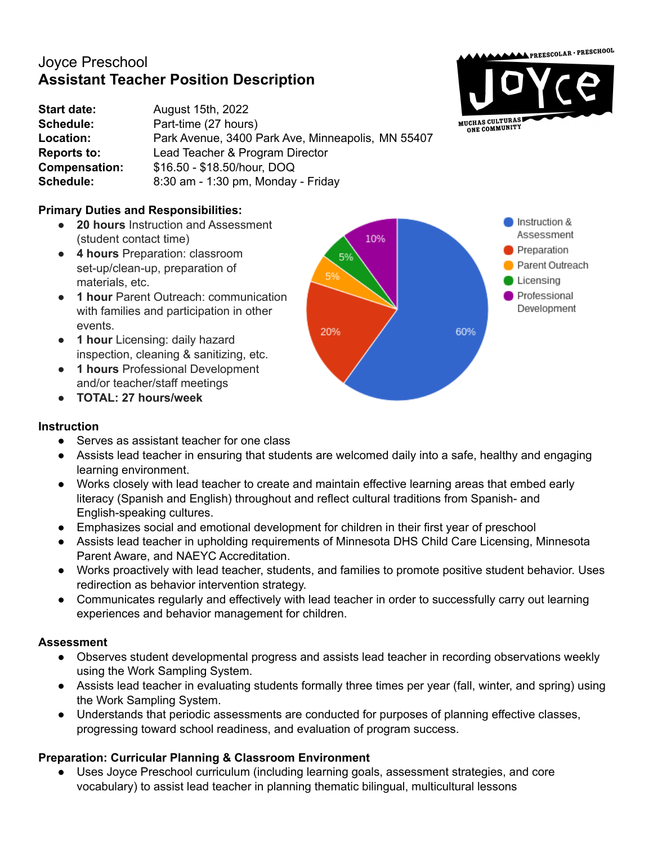# Joyce Preschool **Assistant Teacher Position Description**

**Start date:** August 15th, 2022 **Schedule:** Part-time (27 hours) **Location:** Park Avenue, 3400 Park Ave, Minneapolis, MN 55407 **Reports to:** Lead Teacher & Program Director **Compensation:** \$16.50 - \$18.50/hour, DOQ **Schedule:** 8:30 am - 1:30 pm, Monday - Friday

# **Primary Duties and Responsibilities:**

- **20 hours** Instruction and Assessment (student contact time)
- **4 hours** Preparation: classroom set-up/clean-up, preparation of materials, etc.
- **1 hour** Parent Outreach: communication with families and participation in other events.
- **1 hour** Licensing: daily hazard inspection, cleaning & sanitizing, etc.
- **1 hours** Professional Development and/or teacher/staff meetings
- **● TOTAL: 27 hours/week**

# Instruction & Assessment 10% Preparation 5% Parent Outreach 5% Licensing Professional Development 20% 60%

MUCHAS CULTURAS

 $\blacktriangle$ PREESCOLAR·PRESCHOOL

## **Instruction**

- Serves as assistant teacher for one class
- Assists lead teacher in ensuring that students are welcomed daily into a safe, healthy and engaging learning environment.
- Works closely with lead teacher to create and maintain effective learning areas that embed early literacy (Spanish and English) throughout and reflect cultural traditions from Spanish- and English-speaking cultures.
- Emphasizes social and emotional development for children in their first year of preschool
- Assists lead teacher in upholding requirements of Minnesota DHS Child Care Licensing, Minnesota Parent Aware, and NAEYC Accreditation.
- Works proactively with lead teacher, students, and families to promote positive student behavior. Uses redirection as behavior intervention strategy.
- Communicates regularly and effectively with lead teacher in order to successfully carry out learning experiences and behavior management for children.

# **Assessment**

- Observes student developmental progress and assists lead teacher in recording observations weekly using the Work Sampling System.
- Assists lead teacher in evaluating students formally three times per year (fall, winter, and spring) using the Work Sampling System.
- Understands that periodic assessments are conducted for purposes of planning effective classes, progressing toward school readiness, and evaluation of program success.

# **Preparation: Curricular Planning & Classroom Environment**

Uses Joyce Preschool curriculum (including learning goals, assessment strategies, and core vocabulary) to assist lead teacher in planning thematic bilingual, multicultural lessons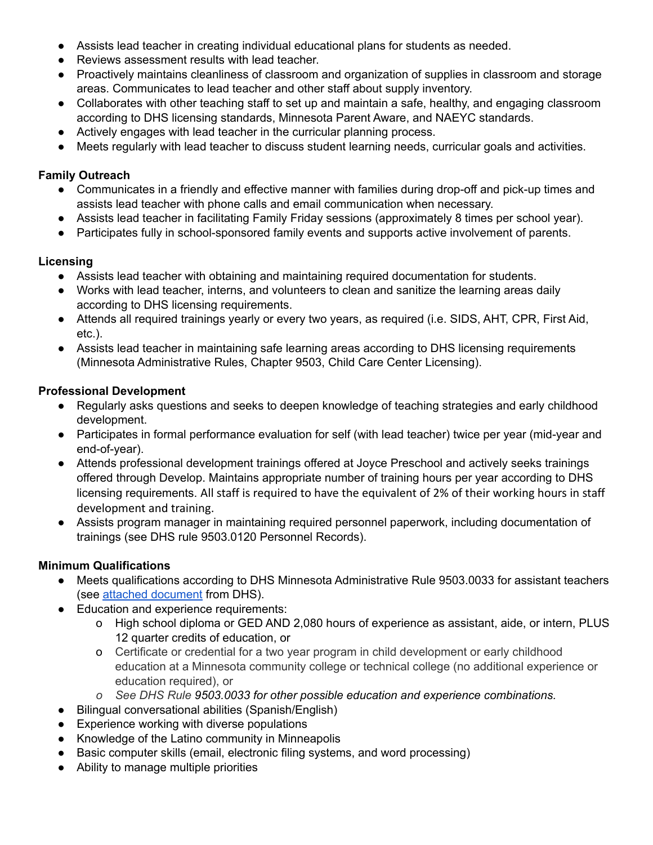- Assists lead teacher in creating individual educational plans for students as needed.
- Reviews assessment results with lead teacher.
- Proactively maintains cleanliness of classroom and organization of supplies in classroom and storage areas. Communicates to lead teacher and other staff about supply inventory.
- Collaborates with other teaching staff to set up and maintain a safe, healthy, and engaging classroom according to DHS licensing standards, Minnesota Parent Aware, and NAEYC standards.
- Actively engages with lead teacher in the curricular planning process.
- Meets regularly with lead teacher to discuss student learning needs, curricular goals and activities.

## **Family Outreach**

- Communicates in a friendly and effective manner with families during drop-off and pick-up times and assists lead teacher with phone calls and email communication when necessary.
- Assists lead teacher in facilitating Family Friday sessions (approximately 8 times per school year).
- Participates fully in school-sponsored family events and supports active involvement of parents.

#### **Licensing**

- Assists lead teacher with obtaining and maintaining required documentation for students.
- Works with lead teacher, interns, and volunteers to clean and sanitize the learning areas daily according to DHS licensing requirements.
- Attends all required trainings yearly or every two years, as required (i.e. SIDS, AHT, CPR, First Aid, etc.).
- Assists lead teacher in maintaining safe learning areas according to DHS licensing requirements (Minnesota Administrative Rules, Chapter 9503, Child Care Center Licensing).

#### **Professional Development**

- Regularly asks questions and seeks to deepen knowledge of teaching strategies and early childhood development.
- Participates in formal performance evaluation for self (with lead teacher) twice per year (mid-year and end-of-year).
- Attends professional development trainings offered at Joyce Preschool and actively seeks trainings offered through Develop. Maintains appropriate number of training hours per year according to DHS licensing requirements. All staff is required to have the equivalent of 2% of their working hours in staff development and training.
- Assists program manager in maintaining required personnel paperwork, including documentation of trainings (see DHS rule 9503.0120 Personnel Records).

## **Minimum Qualifications**

- Meets qualifications according to DHS Minnesota Administrative Rule 9503.0033 for assistant teachers (see attached [document](https://www.revisor.mn.gov/rules/?id=9503.0033&version=2014-01-18T10:02:37-06:00&format=pdf) from DHS).
- Education and experience requirements:
	- o High school diploma or GED AND 2,080 hours of experience as assistant, aide, or intern, PLUS 12 quarter credits of education, or
	- o Certificate or credential for a two year program in child development or early childhood education at a Minnesota community college or technical college (no additional experience or education required), or
	- *o See DHS Rule 9503.0033 for other possible education and experience combinations.*
- Bilingual conversational abilities (Spanish/English)
- Experience working with diverse populations
- Knowledge of the Latino community in Minneapolis
- Basic computer skills (email, electronic filing systems, and word processing)
- Ability to manage multiple priorities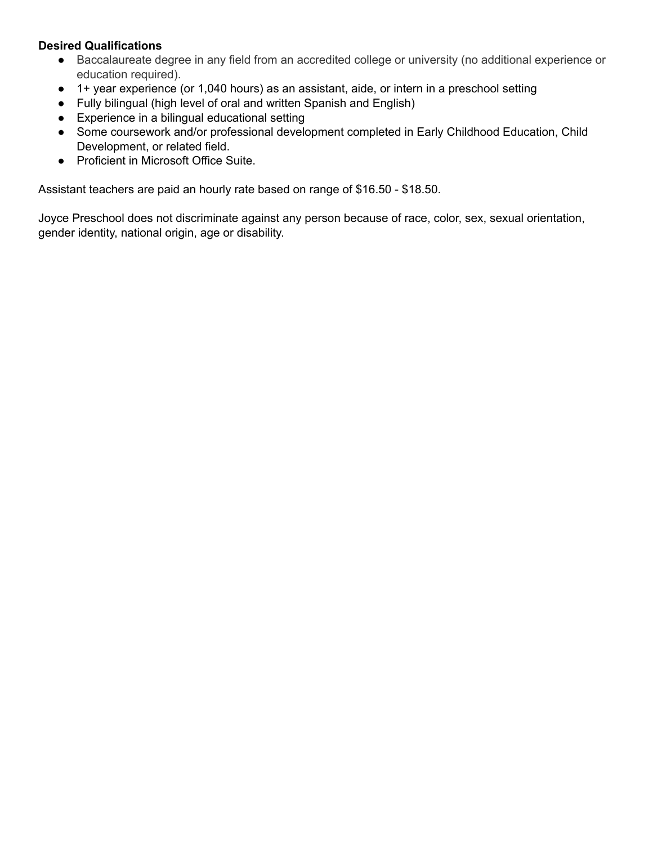### **Desired Qualifications**

- Baccalaureate degree in any field from an accredited college or university (no additional experience or education required).
- 1+ year experience (or 1,040 hours) as an assistant, aide, or intern in a preschool setting
- Fully bilingual (high level of oral and written Spanish and English)
- Experience in a bilingual educational setting
- Some coursework and/or professional development completed in Early Childhood Education, Child Development, or related field.
- Proficient in Microsoft Office Suite.

Assistant teachers are paid an hourly rate based on range of \$16.50 - \$18.50.

Joyce Preschool does not discriminate against any person because of race, color, sex, sexual orientation, gender identity, national origin, age or disability.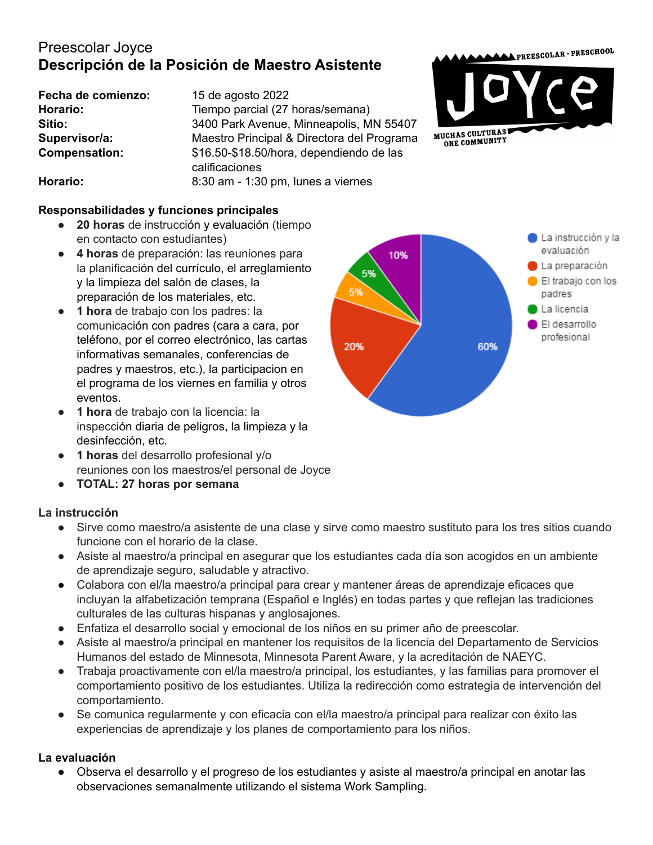# Preescolar Joyce **Descripción de la Posición de Maestro Asistente**

**Fecha de comienzo:** 15 de agosto 2022

Horario: Tiempo parcial (27 horas/semana) **Sitio:** 3400 Park Avenue, Minneapolis, MN 55407 **Supervisor/a:** Maestro Principal & Directora del Programa **Compensation:** \$16.50-\$18.50/hora, dependiendo de las calificaciones **Horario:** 8:30 am - 1:30 pm, lunes a viernes



## **Responsabilidades y funciones principales**

- **20 horas** de instrucción y evaluación (tiempo en contacto con estudiantes)
- **4 horas** de preparación: las reuniones para la planificación del currículo, el arreglamiento y la limpieza del salón de clases, la preparación de los materiales, etc.
- **1 hora** de trabajo con los padres: la comunicación con padres (cara a cara, por teléfono, por el correo electrónico, las cartas informativas semanales, conferencias de padres y maestros, etc.), la participacion en el programa de los viernes en familia y otros eventos.
- **1 hora** de trabajo con la licencia: la inspección diaria de peligros, la limpieza y la desinfección, etc.
- **1 horas** del desarrollo profesional y/o reuniones con los maestros/el personal de Joyce
- **TOTAL: 27 horas por semana**

## **La instrucción**

- Sirve como maestro/a asistente de una clase y sirve como maestro sustituto para los tres sitios cuando funcione con el horario de la clase.
- Asiste al maestro/a principal en asegurar que los estudiantes cada día son acogidos en un ambiente de aprendizaje seguro, saludable y atractivo.
- Colabora con el/la maestro/a principal para crear y mantener áreas de aprendizaje eficaces que incluyan la alfabetización temprana (Español e Inglés) en todas partes y que reflejan las tradiciones culturales de las culturas hispanas y anglosajones.
- Enfatiza el desarrollo social y emocional de los niños en su primer año de preescolar.
- Asiste al maestro/a principal en mantener los requisitos de la licencia del Departamento de Servicios Humanos del estado de Minnesota, Minnesota Parent Aware, y la acreditación de NAEYC.
- Trabaja proactivamente con el/la maestro/a principal, los estudiantes, y las familias para promover el comportamiento positivo de los estudiantes. Utiliza la redirección como estrategia de intervención del comportamiento.
- Se comunica regularmente y con eficacia con el/la maestro/a principal para realizar con éxito las experiencias de aprendizaje y los planes de comportamiento para los niños.

## **La evaluación**

Observa el desarrollo y el progreso de los estudiantes y asiste al maestro/a principal en anotar las observaciones semanalmente utilizando el sistema Work Sampling.

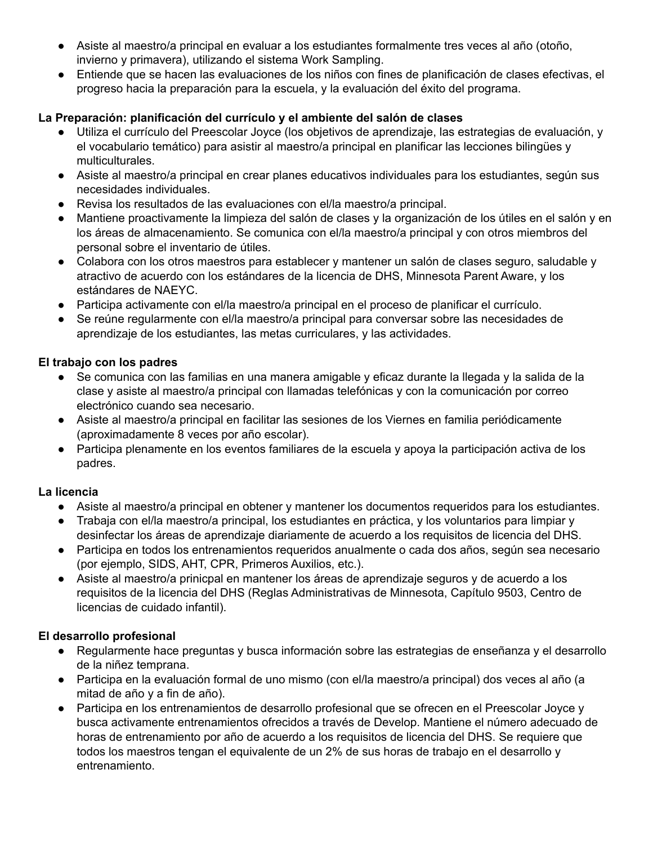- Asiste al maestro/a principal en evaluar a los estudiantes formalmente tres veces al año (otoño, invierno y primavera), utilizando el sistema Work Sampling.
- Entiende que se hacen las evaluaciones de los niños con fines de planificación de clases efectivas, el progreso hacia la preparación para la escuela, y la evaluación del éxito del programa.

## **La Preparación: planificación del currículo y el ambiente del salón de clases**

- Utiliza el currículo del Preescolar Joyce (los objetivos de aprendizaje, las estrategias de evaluación, y el vocabulario temático) para asistir al maestro/a principal en planificar las lecciones bilingües y multiculturales.
- Asiste al maestro/a principal en crear planes educativos individuales para los estudiantes, según sus necesidades individuales.
- Revisa los resultados de las evaluaciones con el/la maestro/a principal.
- Mantiene proactivamente la limpieza del salón de clases y la organización de los útiles en el salón y en los áreas de almacenamiento. Se comunica con el/la maestro/a principal y con otros miembros del personal sobre el inventario de útiles.
- Colabora con los otros maestros para establecer y mantener un salón de clases seguro, saludable y atractivo de acuerdo con los estándares de la licencia de DHS, Minnesota Parent Aware, y los estándares de NAEYC.
- Participa activamente con el/la maestro/a principal en el proceso de planificar el currículo.
- Se reúne regularmente con el/la maestro/a principal para conversar sobre las necesidades de aprendizaje de los estudiantes, las metas curriculares, y las actividades.

## **El trabajo con los padres**

- Se comunica con las familias en una manera amigable y eficaz durante la llegada y la salida de la clase y asiste al maestro/a principal con llamadas telefónicas y con la comunicación por correo electrónico cuando sea necesario.
- Asiste al maestro/a principal en facilitar las sesiones de los Viernes en familia periódicamente (aproximadamente 8 veces por año escolar).
- Participa plenamente en los eventos familiares de la escuela y apoya la participación activa de los padres.

# **La licencia**

- Asiste al maestro/a principal en obtener y mantener los documentos requeridos para los estudiantes.
- Trabaja con el/la maestro/a principal, los estudiantes en práctica, y los voluntarios para limpiar y desinfectar los áreas de aprendizaje diariamente de acuerdo a los requisitos de licencia del DHS.
- Participa en todos los entrenamientos requeridos anualmente o cada dos años, según sea necesario (por ejemplo, SIDS, AHT, CPR, Primeros Auxilios, etc.).
- Asiste al maestro/a prinicpal en mantener los áreas de aprendizaje seguros y de acuerdo a los requisitos de la licencia del DHS (Reglas Administrativas de Minnesota, Capítulo 9503, Centro de licencias de cuidado infantil).

# **El desarrollo profesional**

- Regularmente hace preguntas y busca información sobre las estrategias de enseñanza y el desarrollo de la niñez temprana.
- Participa en la evaluación formal de uno mismo (con el/la maestro/a principal) dos veces al año (a mitad de año y a fin de año).
- Participa en los entrenamientos de desarrollo profesional que se ofrecen en el Preescolar Joyce y busca activamente entrenamientos ofrecidos a través de Develop. Mantiene el número adecuado de horas de entrenamiento por año de acuerdo a los requisitos de licencia del DHS. Se requiere que todos los maestros tengan el equivalente de un 2% de sus horas de trabajo en el desarrollo y entrenamiento.